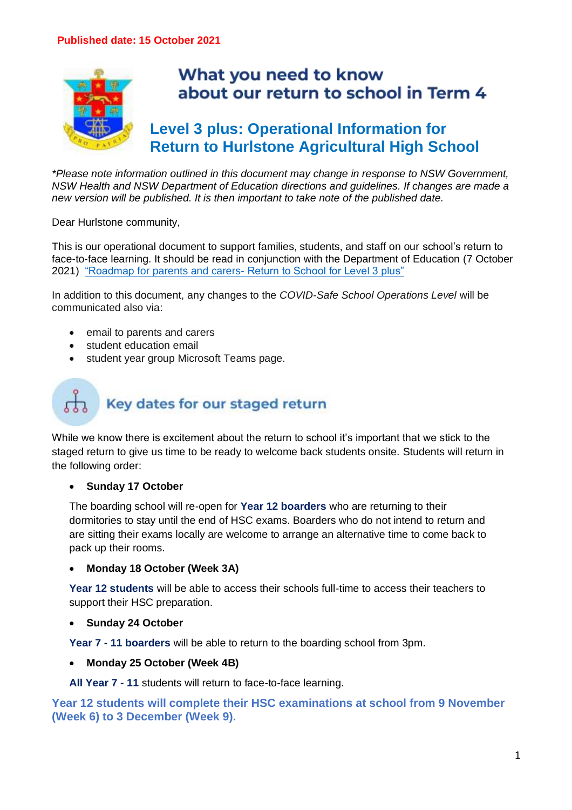

## What you need to know about our return to school in Term 4

## **Level 3 plus: Operational Information for Return to Hurlstone Agricultural High School**

*\*Please note information outlined in this document may change in response to NSW Government, NSW Health and NSW Department of Education directions and guidelines. If changes are made a new version will be published. It is then important to take note of the published date.*

Dear Hurlstone community,

This is our operational document to support families, students, and staff on our school's return to face-to-face learning. It should be read in conjunction with the Department of Education (7 October 2021) "Roadmap for parents and carers- [Return to School for Level 3 plus"](https://education.nsw.gov.au/covid-19/advice-for-families/level-3-plus-schools#About0)

In addition to this document, any changes to the *COVID-Safe School Operations Level* will be communicated also via:

- email to parents and carers
- student education email
- student year group Microsoft Teams page.

# Key dates for our staged return

While we know there is excitement about the return to school it's important that we stick to the staged return to give us time to be ready to welcome back students onsite. Students will return in the following order:

#### • **Sunday 17 October**

The boarding school will re-open for **Year 12 boarders** who are returning to their dormitories to stay until the end of HSC exams. Boarders who do not intend to return and are sitting their exams locally are welcome to arrange an alternative time to come back to pack up their rooms.

#### • **Monday 18 October (Week 3A)**

**Year 12 students** will be able to access their schools full-time to access their teachers to support their HSC preparation.

#### • **Sunday 24 October**

**Year 7 - 11 boarders** will be able to return to the boarding school from 3pm.

• **Monday 25 October (Week 4B)**

**All Year 7 - 11** students will return to face-to-face learning.

**Year 12 students will complete their HSC examinations at school from 9 November (Week 6) to 3 December (Week 9).**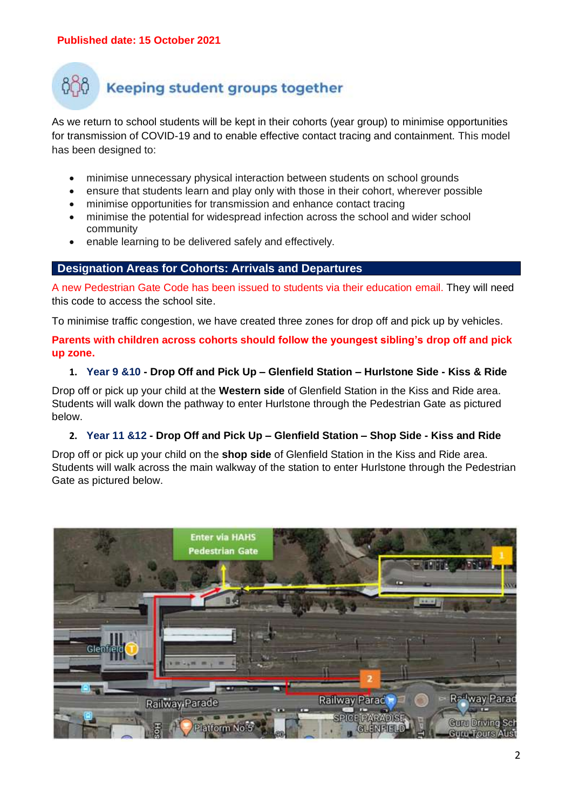## Keeping student groups together

As we return to school students will be kept in their cohorts (year group) to minimise opportunities for transmission of COVID-19 and to enable effective contact tracing and containment. This model has been designed to:

- minimise unnecessary physical interaction between students on school grounds
- ensure that students learn and play only with those in their cohort, wherever possible
- minimise opportunities for transmission and enhance contact tracing
- minimise the potential for widespread infection across the school and wider school community
- enable learning to be delivered safely and effectively.

#### **Designation Areas for Cohorts: Arrivals and Departures**

A new Pedestrian Gate Code has been issued to students via their education email. They will need this code to access the school site.

To minimise traffic congestion, we have created three zones for drop off and pick up by vehicles.

**Parents with children across cohorts should follow the youngest sibling's drop off and pick up zone.**

#### **1. Year 9 &10 - Drop Off and Pick Up – Glenfield Station – Hurlstone Side - Kiss & Ride**

Drop off or pick up your child at the **Western side** of Glenfield Station in the Kiss and Ride area. Students will walk down the pathway to enter Hurlstone through the Pedestrian Gate as pictured below.

#### **2. Year 11 &12 - Drop Off and Pick Up – Glenfield Station – Shop Side - Kiss and Ride**

Drop off or pick up your child on the **shop side** of Glenfield Station in the Kiss and Ride area. Students will walk across the main walkway of the station to enter Hurlstone through the Pedestrian Gate as pictured below.

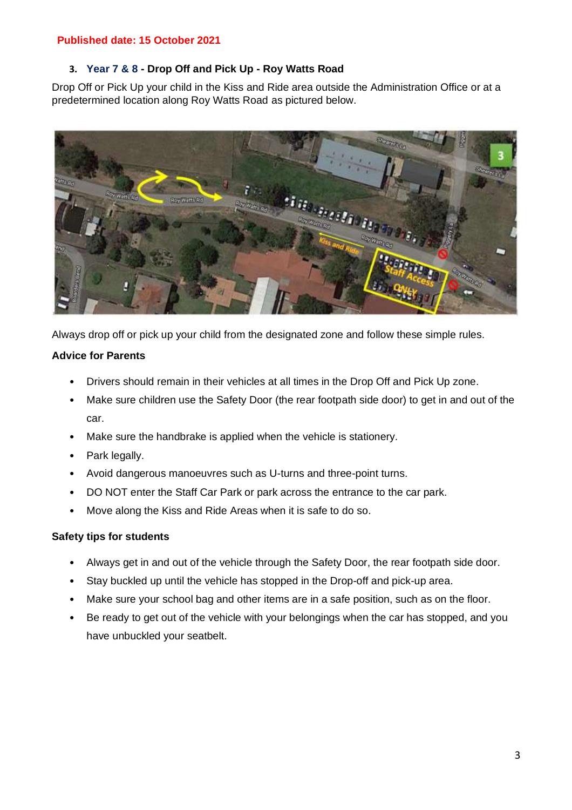#### **3. Year 7 & 8 - Drop Off and Pick Up - Roy Watts Road**

Drop Off or Pick Up your child in the Kiss and Ride area outside the Administration Office or at a predetermined location along Roy Watts Road as pictured below.



Always drop off or pick up your child from the designated zone and follow these simple rules.

#### **Advice for Parents**

- Drivers should remain in their vehicles at all times in the Drop Off and Pick Up zone.
- Make sure children use the Safety Door (the rear footpath side door) to get in and out of the car.
- Make sure the handbrake is applied when the vehicle is stationery.
- Park legally.
- Avoid dangerous manoeuvres such as U-turns and three-point turns.
- DO NOT enter the Staff Car Park or park across the entrance to the car park.
- Move along the Kiss and Ride Areas when it is safe to do so.

#### **Safety tips for students**

- Always get in and out of the vehicle through the Safety Door, the rear footpath side door.
- Stay buckled up until the vehicle has stopped in the Drop-off and pick-up area.
- Make sure your school bag and other items are in a safe position, such as on the floor.
- Be ready to get out of the vehicle with your belongings when the car has stopped, and you have unbuckled your seatbelt.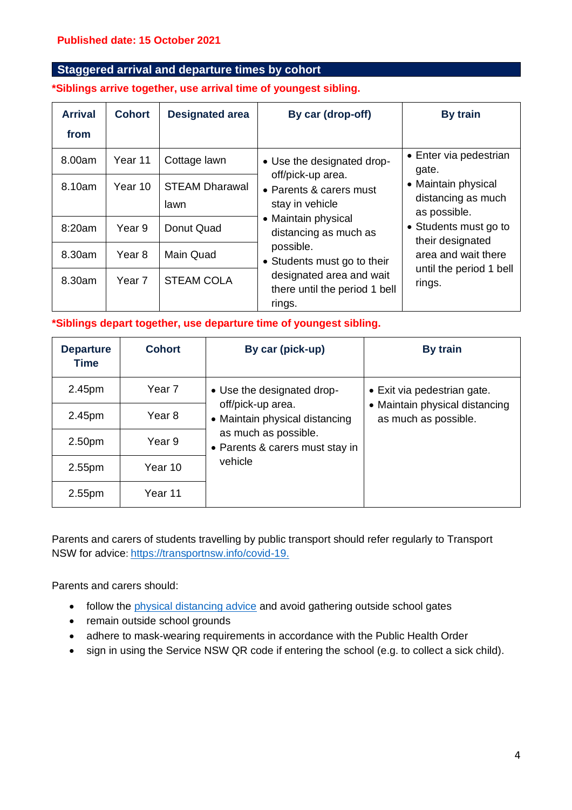#### **Staggered arrival and departure times by cohort**

#### **\*Siblings arrive together, use arrival time of youngest sibling.**

| <b>Arrival</b><br>from | <b>Cohort</b>     | <b>Designated area</b>        | By car (drop-off)                                                                                                                                                                                                                                                | By train                                                                                                                                                           |                                 |
|------------------------|-------------------|-------------------------------|------------------------------------------------------------------------------------------------------------------------------------------------------------------------------------------------------------------------------------------------------------------|--------------------------------------------------------------------------------------------------------------------------------------------------------------------|---------------------------------|
| 8.00am                 | Year 11           | Cottage lawn                  | • Use the designated drop-<br>off/pick-up area.<br>• Parents & carers must<br>stay in vehicle<br>• Maintain physical<br>distancing as much as<br>possible.<br>• Students must go to their<br>designated area and wait<br>there until the period 1 bell<br>rings. |                                                                                                                                                                    | • Enter via pedestrian<br>gate. |
| 8.10am                 | Year 10           | <b>STEAM Dharawal</b><br>lawn |                                                                                                                                                                                                                                                                  | • Maintain physical<br>distancing as much<br>as possible.<br>• Students must go to<br>their designated<br>area and wait there<br>until the period 1 bell<br>rings. |                                 |
| 8:20am                 | Year 9            | Donut Quad                    |                                                                                                                                                                                                                                                                  |                                                                                                                                                                    |                                 |
| 8.30am                 | Year <sub>8</sub> | Main Quad                     |                                                                                                                                                                                                                                                                  |                                                                                                                                                                    |                                 |
| 8.30am                 | Year <sub>7</sub> | <b>STEAM COLA</b>             |                                                                                                                                                                                                                                                                  |                                                                                                                                                                    |                                 |

#### **\*Siblings depart together, use departure time of youngest sibling.**

| <b>Departure</b><br>Time | <b>Cohort</b> | By car (pick-up)                                        | By train                                               |  |
|--------------------------|---------------|---------------------------------------------------------|--------------------------------------------------------|--|
| 2.45pm                   | Year 7        | • Use the designated drop-                              | • Exit via pedestrian gate.                            |  |
| 2.45pm                   | Year 8        | off/pick-up area.<br>• Maintain physical distancing     | • Maintain physical distancing<br>as much as possible. |  |
| 2.50 <sub>pm</sub>       | Year 9        | as much as possible.<br>• Parents & carers must stay in |                                                        |  |
| 2.55 <sub>pm</sub>       | Year 10       | vehicle                                                 |                                                        |  |
| 2.55 <sub>pm</sub>       | Year 11       |                                                         |                                                        |  |

Parents and carers of students travelling by public transport should refer regularly to Transport NSW for advice: [https://transportnsw.info/covid-19.](https://transportnsw.info/covid-19.%EF%BF%BDHYPERLINK%20%22https:/transportnsw.info/covid-19.%22)

Parents and carers should:

- follow the [physical distancing advice](https://www.nsw.gov.au/covid-19/rules/what-you-can-do-nsw) and avoid gathering outside school gates
- remain outside school grounds
- adhere to mask-wearing requirements in accordance with the Public Health Order
- sign in using the Service NSW QR code if entering the school (e.g. to collect a sick child).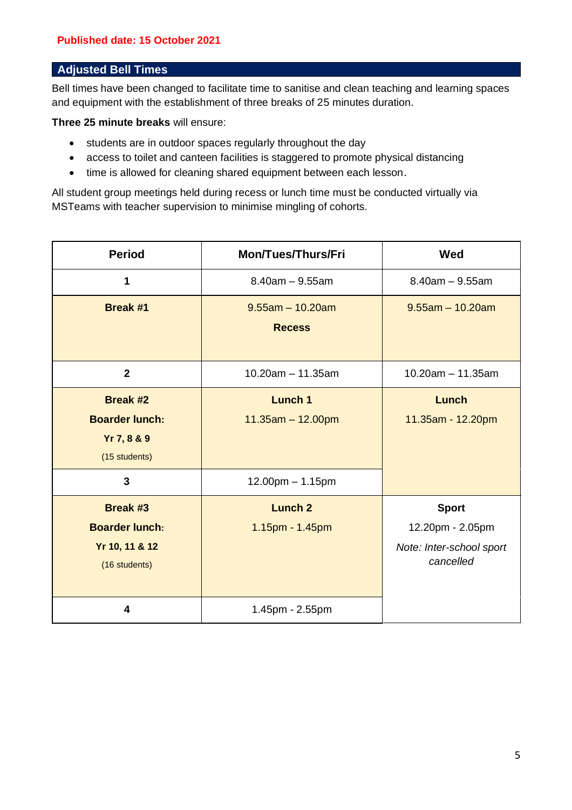#### **Adjusted Bell Times**

Bell times have been changed to facilitate time to sanitise and clean teaching and learning spaces and equipment with the establishment of three breaks of 25 minutes duration.

**Three 25 minute breaks** will ensure:

- students are in outdoor spaces regularly throughout the day
- access to toilet and canteen facilities is staggered to promote physical distancing
- time is allowed for cleaning shared equipment between each lesson.

All student group meetings held during recess or lunch time must be conducted virtually via MSTeams with teacher supervision to minimise mingling of cohorts.

| <b>Period</b>                                                               | <b>Mon/Tues/Thurs/Fri</b>             | Wed                                                                       |
|-----------------------------------------------------------------------------|---------------------------------------|---------------------------------------------------------------------------|
|                                                                             | $8.40$ am $-9.55$ am                  | $8.40am - 9.55am$                                                         |
| <b>Break #1</b>                                                             | $9.55$ am - 10.20am<br><b>Recess</b>  | $9.55am - 10.20am$                                                        |
| $\overline{2}$                                                              | $10.20$ am $-11.35$ am                | $10.20$ am $- 11.35$ am                                                   |
| <b>Break #2</b><br><b>Boarder lunch:</b><br>Yr 7, 8 & 9<br>(15 students)    | <b>Lunch 1</b><br>$11.35am - 12.00pm$ | Lunch<br>11.35am - 12.20pm                                                |
| 3                                                                           | $12.00$ pm $- 1.15$ pm                |                                                                           |
| <b>Break #3</b><br><b>Boarder lunch:</b><br>Yr 10, 11 & 12<br>(16 students) | <b>Lunch 2</b><br>1.15pm - 1.45pm     | <b>Sport</b><br>12.20pm - 2.05pm<br>Note: Inter-school sport<br>cancelled |
| 4                                                                           | 1.45pm - 2.55pm                       |                                                                           |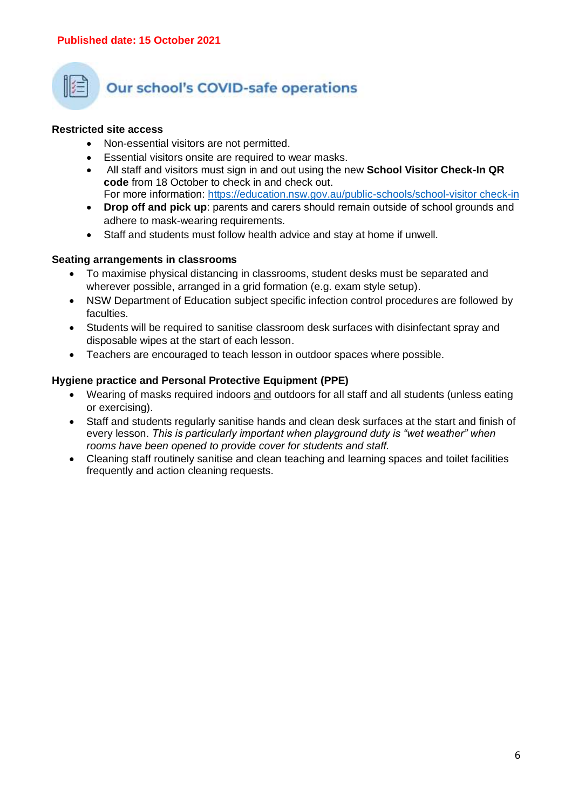

## **Our school's COVID-safe operations**

#### **Restricted site access**

- Non-essential visitors are not permitted.
- Essential visitors onsite are required to wear masks.
- All staff and visitors must sign in and out using the new **School Visitor Check-In QR code** from 18 October to check in and check out. For more information: [https://education.nsw.gov.au/public-schools/school-visitor check-in](https://education.nsw.gov.au/public-schools/school-visitor-check-in)
- **Drop off and pick up**: parents and carers should remain outside of school grounds and adhere to mask-wearing requirements.
- Staff and students must follow health advice and stay at home if unwell.

#### **Seating arrangements in classrooms**

- To maximise physical distancing in classrooms, student desks must be separated and wherever possible, arranged in a grid formation (e.g. exam style setup).
- NSW Department of Education subject specific infection control procedures are followed by faculties.
- Students will be required to sanitise classroom desk surfaces with disinfectant spray and disposable wipes at the start of each lesson.
- Teachers are encouraged to teach lesson in outdoor spaces where possible.

#### **Hygiene practice and Personal Protective Equipment (PPE)**

- Wearing of masks required indoors and outdoors for all staff and all students (unless eating or exercising).
- Staff and students regularly sanitise hands and clean desk surfaces at the start and finish of every lesson. *This is particularly important when playground duty is "wet weather" when rooms have been opened to provide cover for students and staff.*
- Cleaning staff routinely sanitise and clean teaching and learning spaces and toilet facilities frequently and action cleaning requests.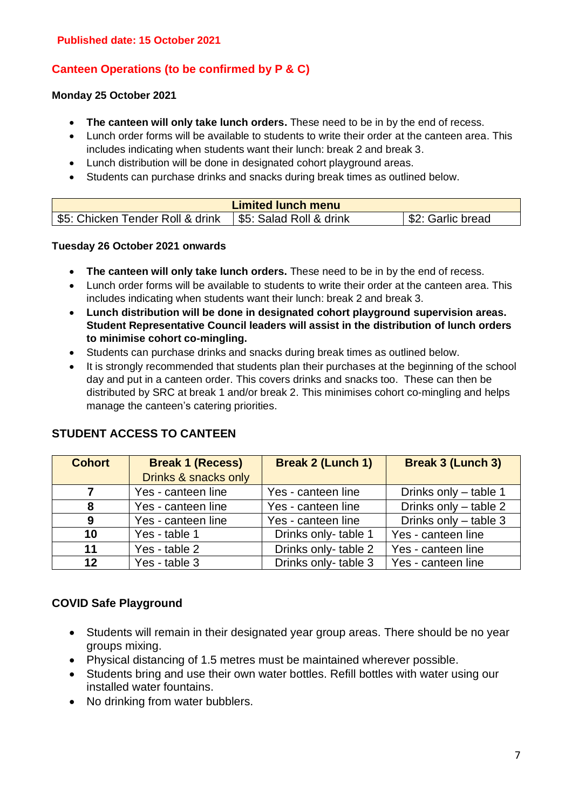#### **Canteen Operations (to be confirmed by P & C)**

#### **Monday 25 October 2021**

- **The canteen will only take lunch orders.** These need to be in by the end of recess.
- Lunch order forms will be available to students to write their order at the canteen area. This includes indicating when students want their lunch: break 2 and break 3.
- Lunch distribution will be done in designated cohort playground areas.
- Students can purchase drinks and snacks during break times as outlined below.

| <b>Limited lunch menu</b>       |                         |                  |  |
|---------------------------------|-------------------------|------------------|--|
| S5: Chicken Tender Roll & drink | \$5: Salad Roll & drink | S2: Garlic bread |  |

#### **Tuesday 26 October 2021 onwards**

- **The canteen will only take lunch orders.** These need to be in by the end of recess.
- Lunch order forms will be available to students to write their order at the canteen area. This includes indicating when students want their lunch: break 2 and break 3.
- **Lunch distribution will be done in designated cohort playground supervision areas. Student Representative Council leaders will assist in the distribution of lunch orders to minimise cohort co-mingling.**
- Students can purchase drinks and snacks during break times as outlined below.
- It is strongly recommended that students plan their purchases at the beginning of the school day and put in a canteen order. This covers drinks and snacks too. These can then be distributed by SRC at break 1 and/or break 2. This minimises cohort co-mingling and helps manage the canteen's catering priorities.

| <b>Cohort</b> | <b>Break 1 (Recess)</b> | <b>Break 2 (Lunch 1)</b> | <b>Break 3 (Lunch 3)</b> |
|---------------|-------------------------|--------------------------|--------------------------|
|               | Drinks & snacks only    |                          |                          |
| 7             | Yes - canteen line      | Yes - canteen line       | Drinks only - table 1    |
| 8             | Yes - canteen line      | Yes - canteen line       | Drinks only - table 2    |
| 9             | Yes - canteen line      | Yes - canteen line       | Drinks only - table 3    |
| 10            | Yes - table 1           | Drinks only-table 1      | Yes - canteen line       |
| 11            | Yes - table 2           | Drinks only-table 2      | Yes - canteen line       |
| 12            | Yes - table 3           | Drinks only-table 3      | Yes - canteen line       |

#### **STUDENT ACCESS TO CANTEEN**

#### **COVID Safe Playground**

- Students will remain in their designated year group areas. There should be no year groups mixing.
- Physical distancing of 1.5 metres must be maintained wherever possible.
- Students bring and use their own water bottles. Refill bottles with water using our installed water fountains.
- No drinking from water bubblers.